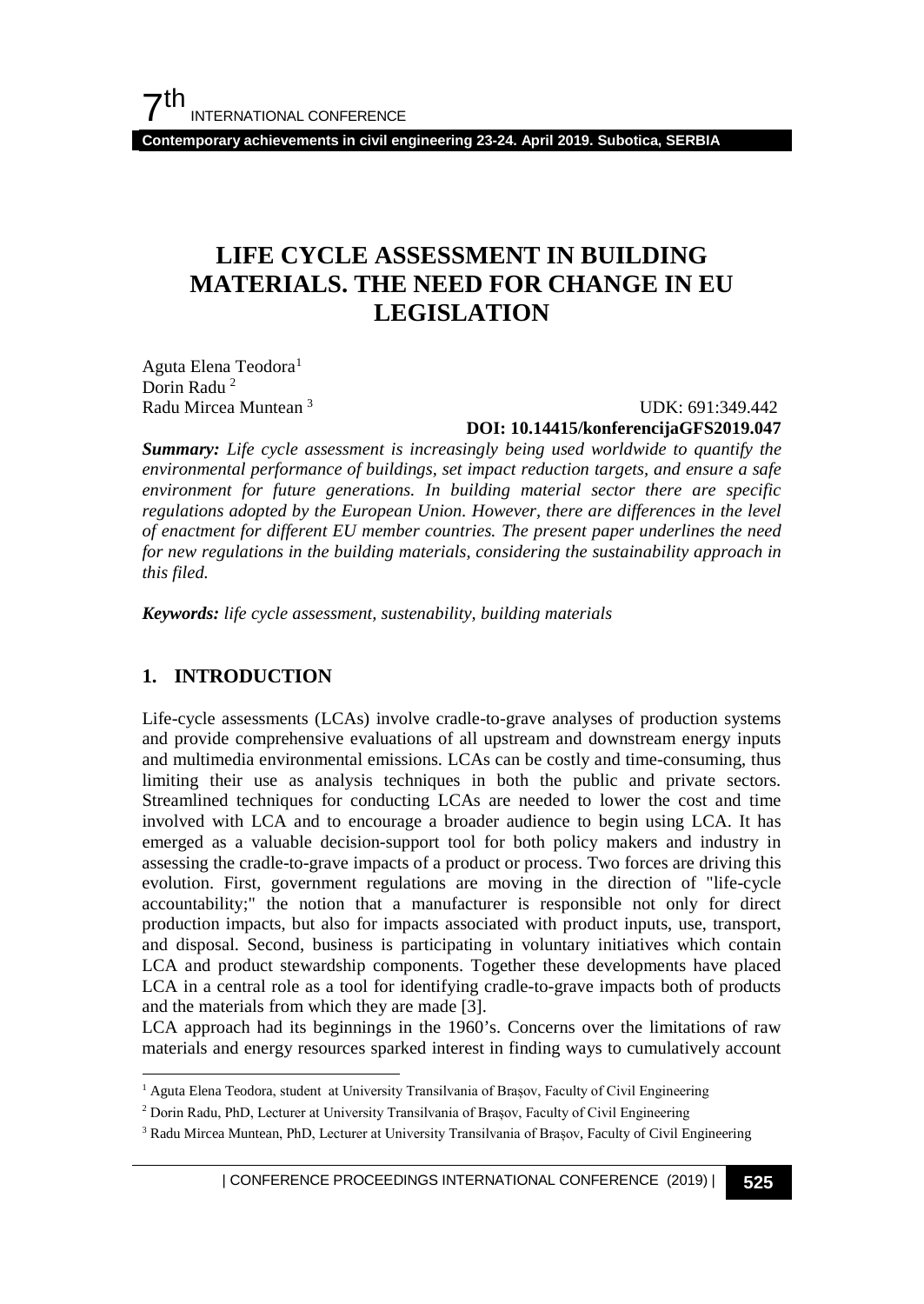**Contemporary achievements in civil engineering 23-24. April 2019. Subotica, SERBIA**

# **LIFE CYCLE ASSESSMENT IN BUILDING MATERIALS. THE NEED FOR CHANGE IN EU LEGISLATION**

Aguta Elena Teodora<sup>1</sup> Dorin Radu<sup>[2](#page-0-1)</sup> Radu Mircea Muntean [3](#page-0-2)

 UDK: 691:349.442 **DOI: 10.14415/konferencijaGFS2019.047**

*Summary: Life cycle assessment is increasingly being used worldwide to quantify the environmental performance of buildings, set impact reduction targets, and ensure a safe environment for future generations. In building material sector there are specific regulations adopted by the European Union. However, there are differences in the level of enactment for different EU member countries. The present paper underlines the need for new regulations in the building materials, considering the sustainability approach in this filed.*

*Keywords: life cycle assessment, sustenability, building materials*

#### **1. INTRODUCTION**

Life-cycle assessments (LCAs) involve cradle-to-grave analyses of production systems and provide comprehensive evaluations of all upstream and downstream energy inputs and multimedia environmental emissions. LCAs can be costly and time-consuming, thus limiting their use as analysis techniques in both the public and private sectors. Streamlined techniques for conducting LCAs are needed to lower the cost and time involved with LCA and to encourage a broader audience to begin using LCA. It has emerged as a valuable decision-support tool for both policy makers and industry in assessing the cradle-to-grave impacts of a product or process. Two forces are driving this evolution. First, government regulations are moving in the direction of "life-cycle accountability;" the notion that a manufacturer is responsible not only for direct production impacts, but also for impacts associated with product inputs, use, transport, and disposal. Second, business is participating in voluntary initiatives which contain LCA and product stewardship components. Together these developments have placed LCA in a central role as a tool for identifying cradle-to-grave impacts both of products and the materials from which they are made [3].

LCA approach had its beginnings in the 1960's. Concerns over the limitations of raw materials and energy resources sparked interest in finding ways to cumulatively account

<span id="page-0-0"></span> <sup>1</sup> Aguta Elena Teodora, student at University Transilvania of Brașov, Faculty of Civil Engineering

<span id="page-0-1"></span><sup>2</sup> Dorin Radu, PhD, Lecturer at University Transilvania of Brașov, Faculty of Civil Engineering

<span id="page-0-2"></span><sup>3</sup> Radu Mircea Muntean, PhD, Lecturer at University Transilvania of Brașov, Faculty of Civil Engineering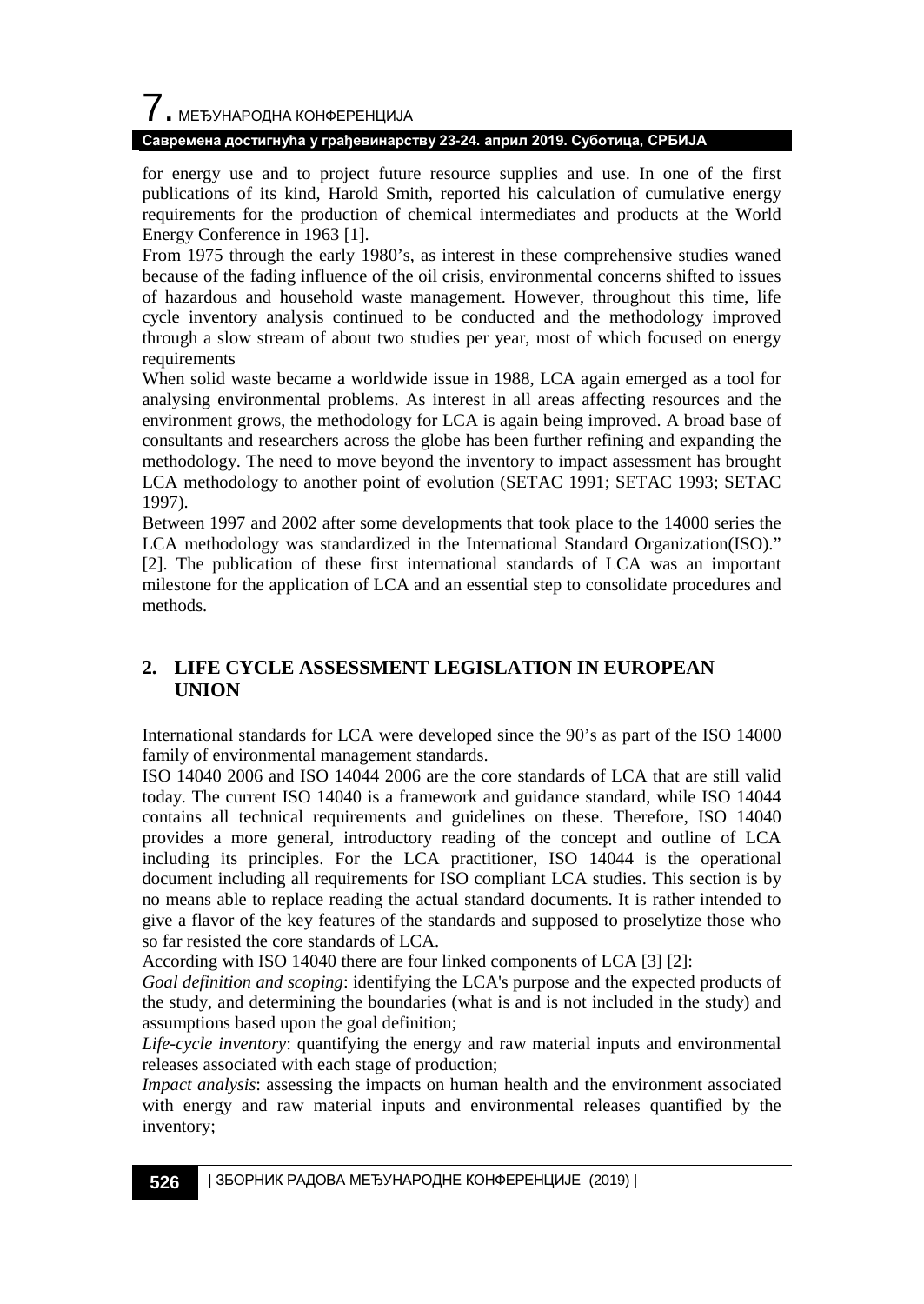# $\overline{\phantom{a}}$ . МЕЂУНАРОДНА КОНФЕРЕНЦИЈА

#### **Савремена достигнућа у грађевинарству 23-24. април 2019. Суботица, СРБИЈА**

for energy use and to project future resource supplies and use. In one of the first publications of its kind, Harold Smith, reported his calculation of cumulative energy requirements for the production of chemical intermediates and products at the World Energy Conference in 1963 [1].

From 1975 through the early 1980's, as interest in these comprehensive studies waned because of the fading influence of the oil crisis, environmental concerns shifted to issues of hazardous and household waste management. However, throughout this time, life cycle inventory analysis continued to be conducted and the methodology improved through a slow stream of about two studies per year, most of which focused on energy requirements

When solid waste became a worldwide issue in 1988, LCA again emerged as a tool for analysing environmental problems. As interest in all areas affecting resources and the environment grows, the methodology for LCA is again being improved. A broad base of consultants and researchers across the globe has been further refining and expanding the methodology. The need to move beyond the inventory to impact assessment has brought LCA methodology to another point of evolution (SETAC 1991; SETAC 1993; SETAC 1997).

Between 1997 and 2002 after some developments that took place to the 14000 series the LCA methodology was standardized in the International Standard Organization(ISO)." [2]. The publication of these first international standards of LCA was an important milestone for the application of LCA and an essential step to consolidate procedures and methods.

### **2. LIFE CYCLE ASSESSMENT LEGISLATION IN EUROPEAN UNION**

International standards for LCA were developed since the 90's as part of the ISO 14000 family of environmental management standards.

ISO 14040 2006 and ISO 14044 2006 are the core standards of LCA that are still valid today. The current ISO 14040 is a framework and guidance standard, while ISO 14044 contains all technical requirements and guidelines on these. Therefore, ISO 14040 provides a more general, introductory reading of the concept and outline of LCA including its principles. For the LCA practitioner, ISO 14044 is the operational document including all requirements for ISO compliant LCA studies. This section is by no means able to replace reading the actual standard documents. It is rather intended to give a flavor of the key features of the standards and supposed to proselytize those who so far resisted the core standards of LCA.

According with ISO 14040 there are four linked components of LCA [3] [2]:

*Goal definition and scoping*: identifying the LCA's purpose and the expected products of the study, and determining the boundaries (what is and is not included in the study) and assumptions based upon the goal definition;

*Life-cycle inventory*: quantifying the energy and raw material inputs and environmental releases associated with each stage of production;

*Impact analysis*: assessing the impacts on human health and the environment associated with energy and raw material inputs and environmental releases quantified by the inventory;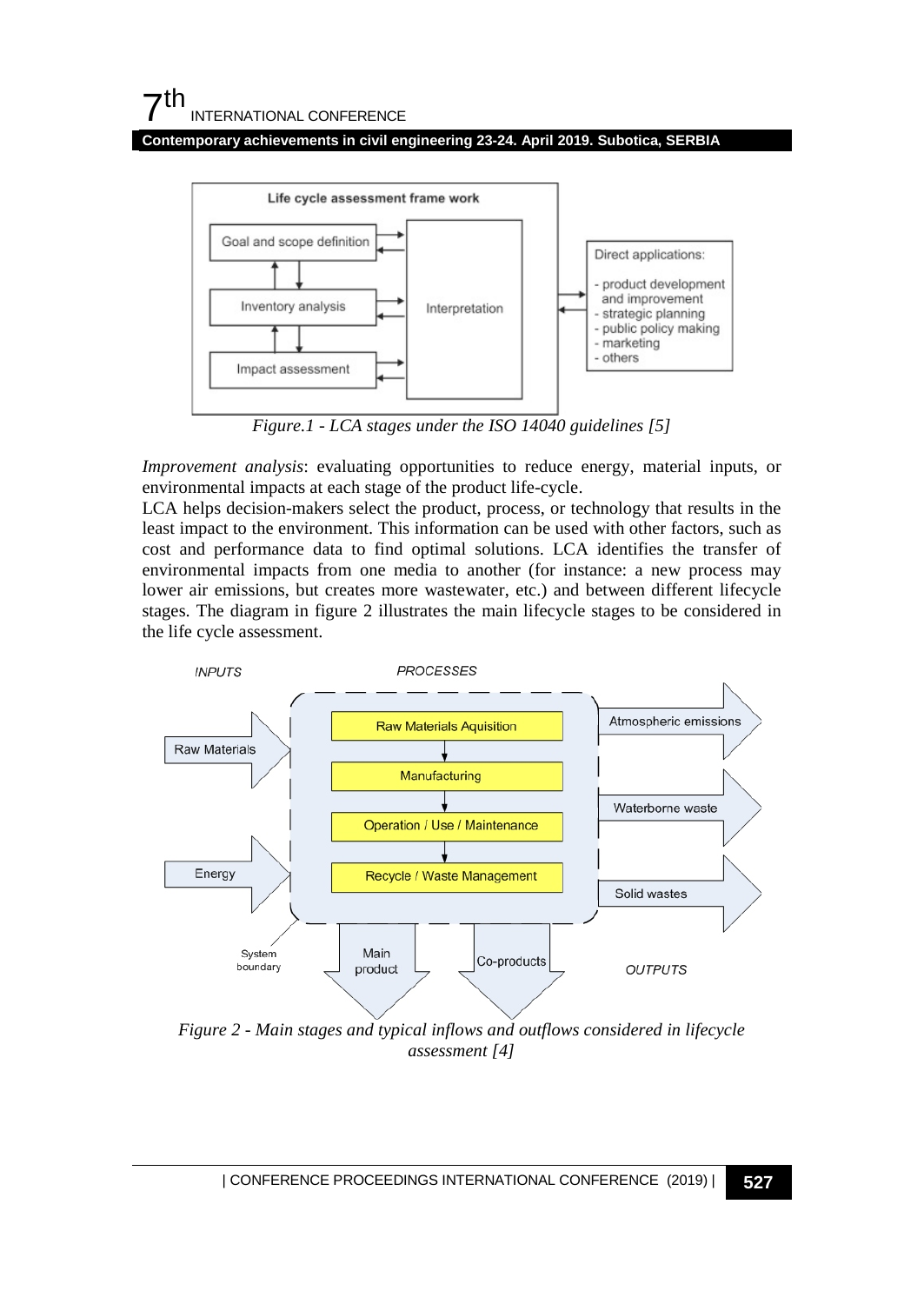**Contemporary achievements in civil engineering 23-24. April 2019. Subotica, SERBIA**



*Figure.1 - LCA stages under the ISO 14040 guidelines [5]*

*Improvement analysis*: evaluating opportunities to reduce energy, material inputs, or environmental impacts at each stage of the product life-cycle.

LCA helps decision-makers select the product, process, or technology that results in the least impact to the environment. This information can be used with other factors, such as cost and performance data to find optimal solutions. LCA identifies the transfer of environmental impacts from one media to another (for instance: a new process may lower air emissions, but creates more wastewater, etc.) and between different lifecycle stages. The diagram in figure 2 illustrates the main lifecycle stages to be considered in the life cycle assessment.



*Figure 2 - Main stages and typical inflows and outflows considered in lifecycle assessment [4]*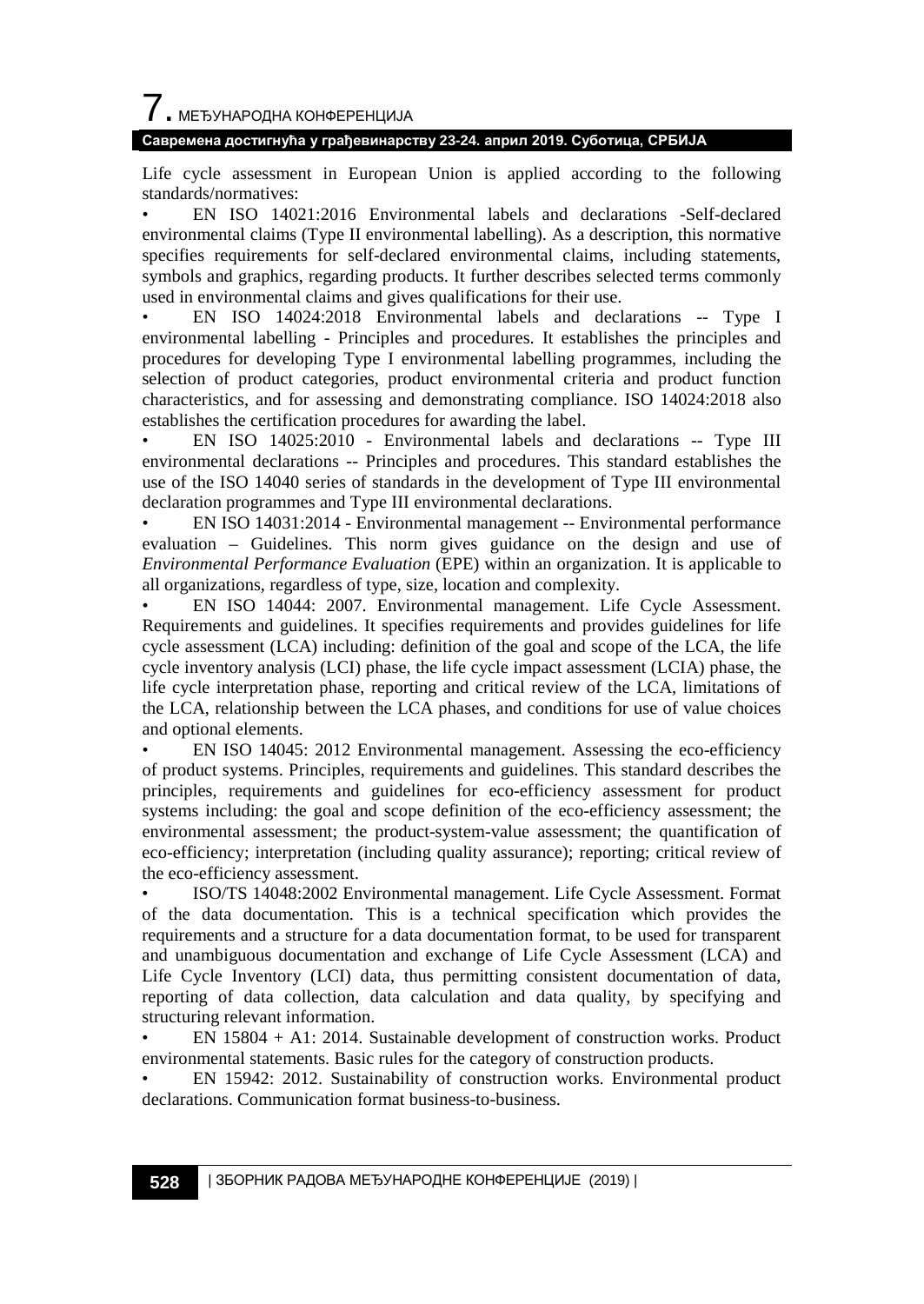# $\overline{\phantom{a}}$ . МЕЂУНАРОДНА КОНФЕРЕНЦИЈА

#### **Савремена достигнућа у грађевинарству 23-24. април 2019. Суботица, СРБИЈА**

Life cycle assessment in European Union is applied according to the following standards/normatives:

• EN ISO 14021:2016 Environmental labels and declarations -Self-declared environmental claims (Type II environmental labelling). As a description, this normative specifies requirements for self-declared environmental claims, including statements, symbols and graphics, regarding products. It further describes selected terms commonly used in environmental claims and gives qualifications for their use.

• EN ISO 14024:2018 Environmental labels and declarations -- Type I environmental labelling - Principles and procedures. It establishes the principles and procedures for developing Type I environmental labelling programmes, including the selection of product categories, product environmental criteria and product function characteristics, and for assessing and demonstrating compliance. ISO 14024:2018 also establishes the certification procedures for awarding the label.

• EN ISO 14025:2010 - Environmental labels and declarations -- Type III environmental declarations -- Principles and procedures. This standard establishes the use of the ISO 14040 series of standards in the development of Type III environmental declaration programmes and Type III environmental declarations.

• EN ISO 14031:2014 - Environmental management -- Environmental performance evaluation – Guidelines. This norm gives guidance on the design and use of *Environmental Performance Evaluation* (EPE) within an organization. It is applicable to all organizations, regardless of type, size, location and complexity.

• EN ISO 14044: 2007. Environmental management. Life Cycle Assessment. Requirements and guidelines. It specifies requirements and provides guidelines for life cycle assessment (LCA) including: definition of the goal and scope of the LCA, the life cycle inventory analysis (LCI) phase, the life cycle impact assessment (LCIA) phase, the life cycle interpretation phase, reporting and critical review of the LCA, limitations of the LCA, relationship between the LCA phases, and conditions for use of value choices and optional elements.

• EN ISO 14045: 2012 Environmental management. Assessing the eco-efficiency of product systems. Principles, requirements and guidelines. This standard describes the principles, requirements and guidelines for eco-efficiency assessment for product systems including: the goal and scope definition of the eco-efficiency assessment; the environmental assessment; the product-system-value assessment; the quantification of eco-efficiency; interpretation (including quality assurance); reporting; critical review of the eco-efficiency assessment.

• ISO/TS 14048:2002 Environmental management. Life Cycle Assessment. Format of the data documentation. This is a technical specification which provides the requirements and a structure for a data documentation format, to be used for transparent and unambiguous documentation and exchange of Life Cycle Assessment (LCA) and Life Cycle Inventory (LCI) data, thus permitting consistent documentation of data, reporting of data collection, data calculation and data quality, by specifying and structuring relevant information.

• EN 15804 + A1: 2014. Sustainable development of construction works. Product environmental statements. Basic rules for the category of construction products.

• EN 15942: 2012. Sustainability of construction works. Environmental product declarations. Communication format business-to-business.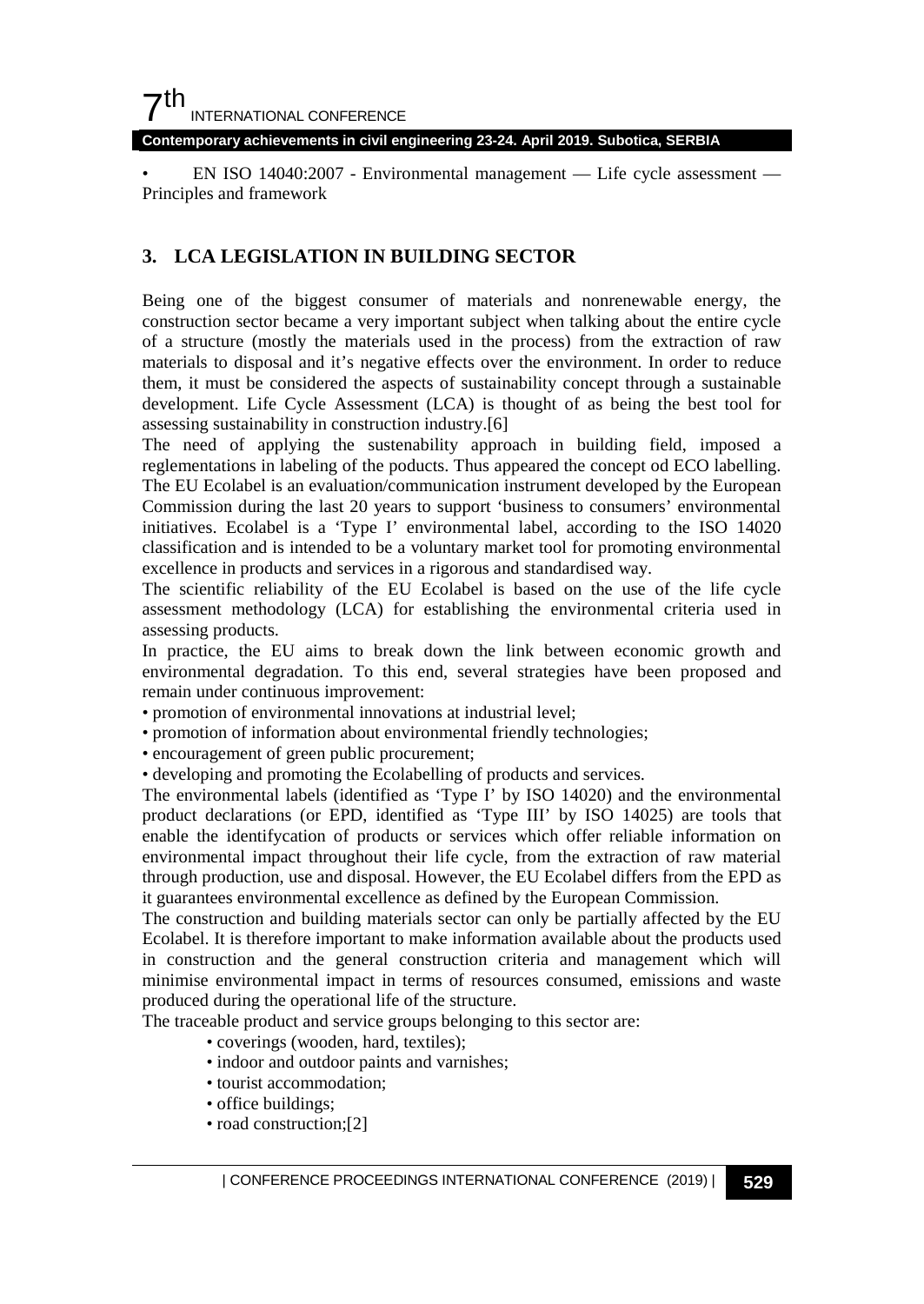## $7<sup>th</sup>$ INTERNATIONAL CONFERENCE

**Contemporary achievements in civil engineering 23-24. April 2019. Subotica, SERBIA**

• EN ISO 14040:2007 - Environmental management — Life cycle assessment — Principles and framework

### **3. LCA LEGISLATION IN BUILDING SECTOR**

Being one of the biggest consumer of materials and nonrenewable energy, the construction sector became a very important subject when talking about the entire cycle of a structure (mostly the materials used in the process) from the extraction of raw materials to disposal and it's negative effects over the environment. In order to reduce them, it must be considered the aspects of sustainability concept through a sustainable development. Life Cycle Assessment (LCA) is thought of as being the best tool for assessing sustainability in construction industry.[6]

The need of applying the sustenability approach in building field, imposed a reglementations in labeling of the poducts. Thus appeared the concept od ECO labelling. The EU Ecolabel is an evaluation/communication instrument developed by the European Commission during the last 20 years to support 'business to consumers' environmental initiatives. Ecolabel is a 'Type I' environmental label, according to the ISO 14020 classification and is intended to be a voluntary market tool for promoting environmental excellence in products and services in a rigorous and standardised way.

The scientific reliability of the EU Ecolabel is based on the use of the life cycle assessment methodology (LCA) for establishing the environmental criteria used in assessing products.

In practice, the EU aims to break down the link between economic growth and environmental degradation. To this end, several strategies have been proposed and remain under continuous improvement:

- promotion of environmental innovations at industrial level;
- promotion of information about environmental friendly technologies;
- encouragement of green public procurement;
- developing and promoting the Ecolabelling of products and services.

The environmental labels (identified as 'Type I' by ISO 14020) and the environmental product declarations (or EPD, identified as 'Type III' by ISO 14025) are tools that enable the identifycation of products or services which offer reliable information on environmental impact throughout their life cycle, from the extraction of raw material through production, use and disposal. However, the EU Ecolabel differs from the EPD as it guarantees environmental excellence as defined by the European Commission.

The construction and building materials sector can only be partially affected by the EU Ecolabel. It is therefore important to make information available about the products used in construction and the general construction criteria and management which will minimise environmental impact in terms of resources consumed, emissions and waste produced during the operational life of the structure.

The traceable product and service groups belonging to this sector are:

- coverings (wooden, hard, textiles);
- indoor and outdoor paints and varnishes;
- tourist accommodation;
- office buildings;
- road construction;[2]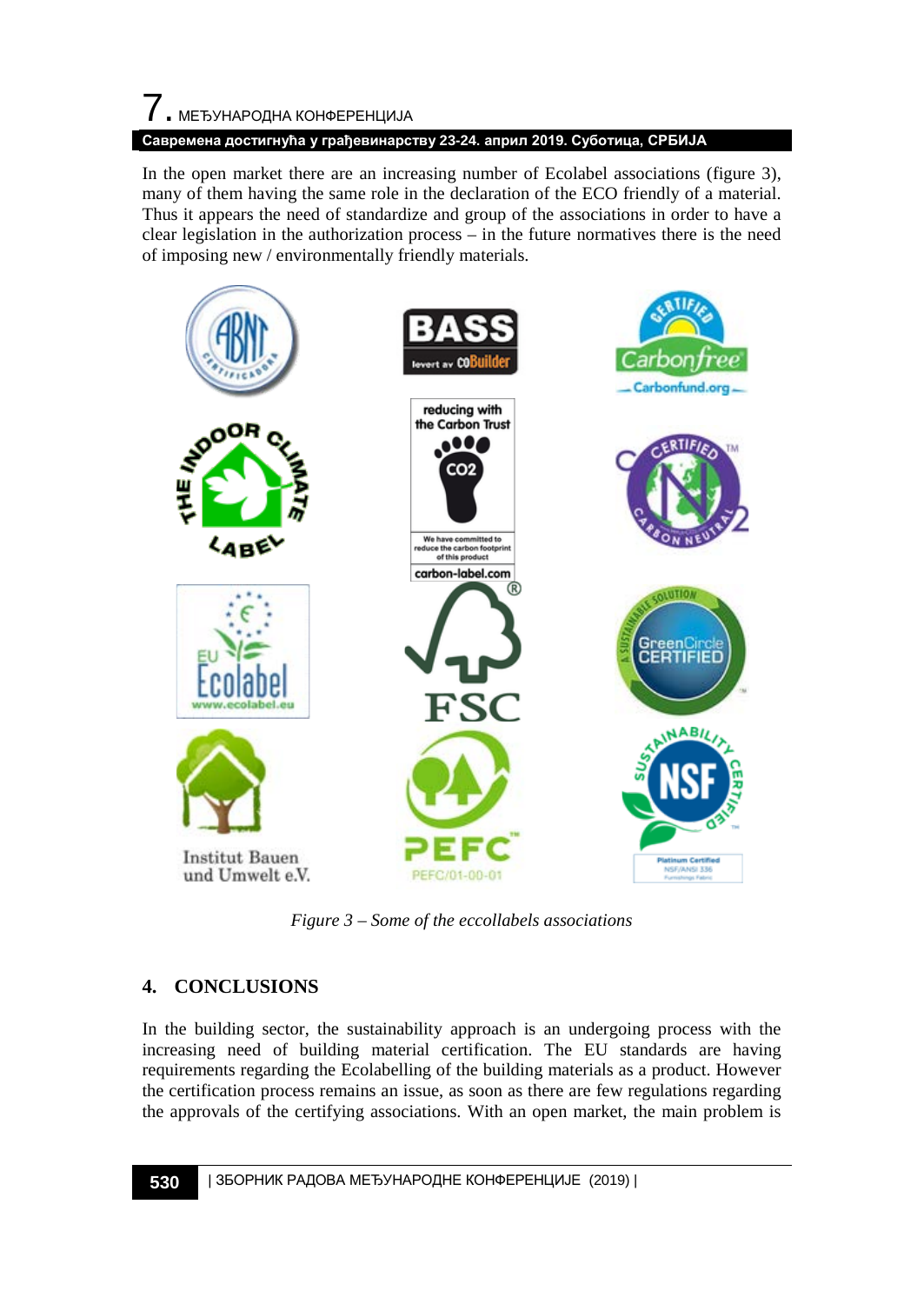# 7. МЕЂУНАРОДНА КОНФЕРЕНЦИЈА **Савремена достигнућа у грађевинарству 23-24. април 2019. Суботица, СРБИЈА**

In the open market there are an increasing number of Ecolabel associations (figure 3), many of them having the same role in the declaration of the ECO friendly of a material. Thus it appears the need of standardize and group of the associations in order to have a clear legislation in the authorization process – in the future normatives there is the need of imposing new / environmentally friendly materials.



*Figure 3 – Some of the eccollabels associations* 

## **4. CONCLUSIONS**

In the building sector, the sustainability approach is an undergoing process with the increasing need of building material certification. The EU standards are having requirements regarding the Ecolabelling of the building materials as a product. However the certification process remains an issue, as soon as there are few regulations regarding the approvals of the certifying associations. With an open market, the main problem is